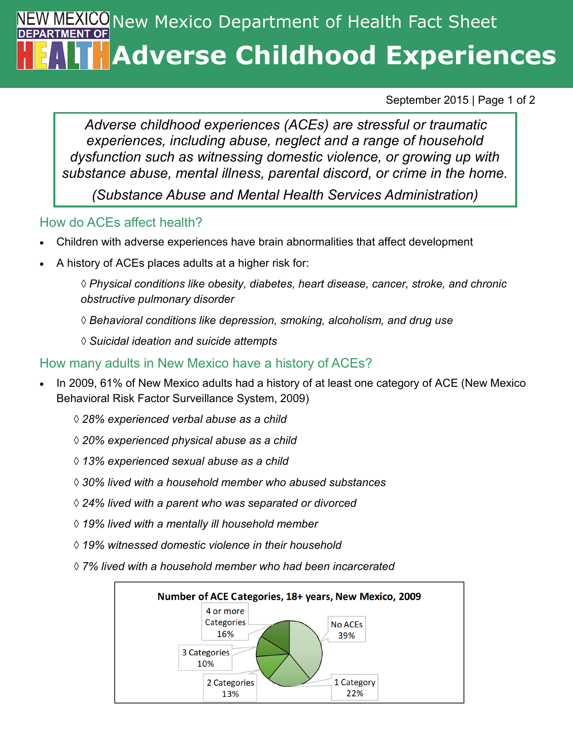# **EXICO** New Mexico Department of Health Fact Sheet **Adverse Childhood Experiences**

September 2015 | Page 1 of 2

*Adverse childhood experiences (ACEs) are stressful or traumatic experiences, including abuse, neglect and a range of household dysfunction such as witnessing domestic violence, or growing up with substance abuse, mental illness, parental discord, or crime in the home.* 

*(Substance Abuse and Mental Health Services Administration)*

### How do ACEs affect health?

- Children with adverse experiences have brain abnormalities that affect development
- A history of ACEs places adults at a higher risk for:

*◊ Physical conditions like obesity, diabetes, heart disease, cancer, stroke, and chronic obstructive pulmonary disorder*

- *◊ Behavioral conditions like depression, smoking, alcoholism, and drug use*
- *◊ Suicidal ideation and suicide attempts*

### How many adults in New Mexico have a history of ACEs?

- In 2009, 61% of New Mexico adults had a history of at least one category of ACE (New Mexico Behavioral Risk Factor Surveillance System, 2009)
	- *◊ 28% experienced verbal abuse as a child*
	- *◊ 20% experienced physical abuse as a child*
	- *◊ 13% experienced sexual abuse as a child*
	- *◊ 30% lived with a household member who abused substances*
	- *◊ 24% lived with a parent who was separated or divorced*
	- *◊ 19% lived with a mentally ill household member*
	- *◊ 19% witnessed domestic violence in their household*
	- *◊ 7% lived with a household member who had been incarcerated*